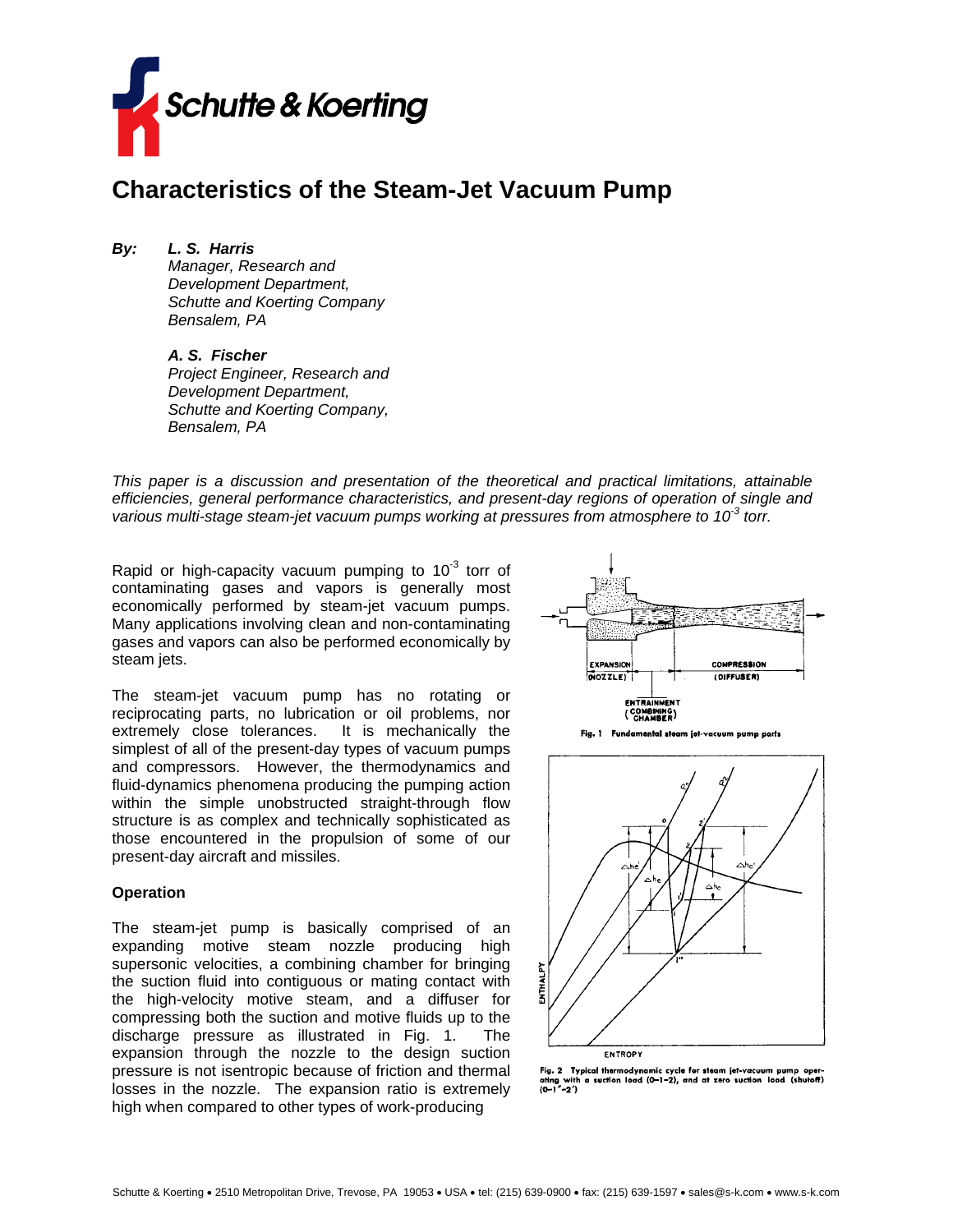

# **Characteristics of the Steam-Jet Vacuum Pump**

*By: L. S. Harris Manager, Research and Development Department, Schutte and Koerting Company* 

*Bensalem, PA* 

*A. S. Fischer Project Engineer, Research and Development Department, Schutte and Koerting Company, Bensalem, PA* 

*This paper is a discussion and presentation of the theoretical and practical limitations, attainable efficiencies, general performance characteristics, and present-day regions of operation of single and various multi-stage steam-jet vacuum pumps working at pressures from atmosphere to 10-3 torr.* 

Rapid or high-capacity vacuum pumping to  $10^{-3}$  torr of contaminating gases and vapors is generally most economically performed by steam-jet vacuum pumps. Many applications involving clean and non-contaminating gases and vapors can also be performed economically by steam jets.

The steam-jet vacuum pump has no rotating or reciprocating parts, no lubrication or oil problems, nor extremely close tolerances. It is mechanically the simplest of all of the present-day types of vacuum pumps and compressors. However, the thermodynamics and fluid-dynamics phenomena producing the pumping action within the simple unobstructed straight-through flow structure is as complex and technically sophisticated as those encountered in the propulsion of some of our present-day aircraft and missiles.

#### **Operation**

The steam-jet pump is basically comprised of an expanding motive steam nozzle producing high supersonic velocities, a combining chamber for bringing the suction fluid into contiguous or mating contact with the high-velocity motive steam, and a diffuser for compressing both the suction and motive fluids up to the discharge pressure as illustrated in Fig. 1. The expansion through the nozzle to the design suction pressure is not isentropic because of friction and thermal losses in the nozzle. The expansion ratio is extremely high when compared to other types of work-producing



Fig. 1 Fundamental steam jet-vacuum pump parts



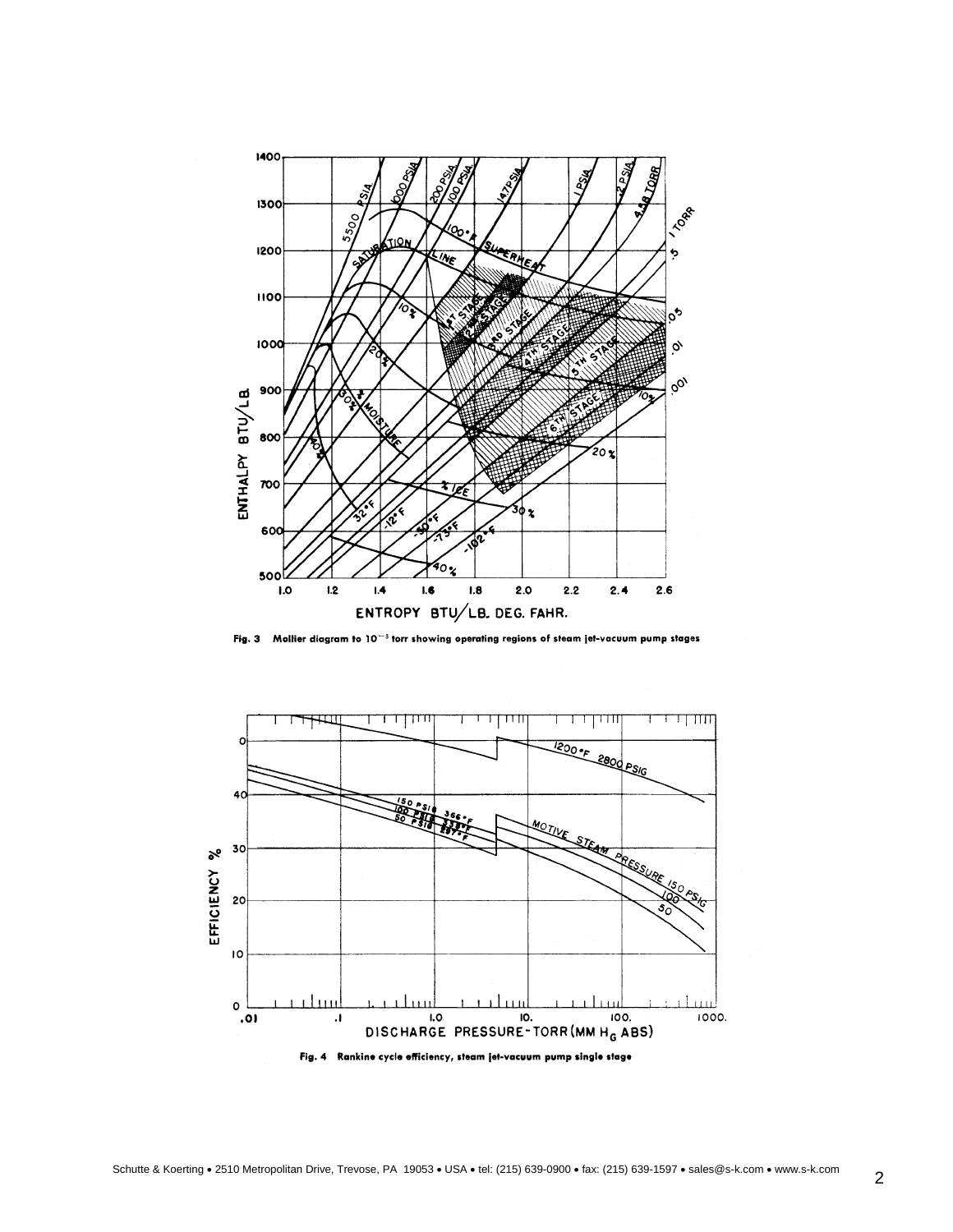

Fig. 3 Mollier diagram to 10<sup>-3</sup> torr showing operating regions of steam jet-vacuum pump stages

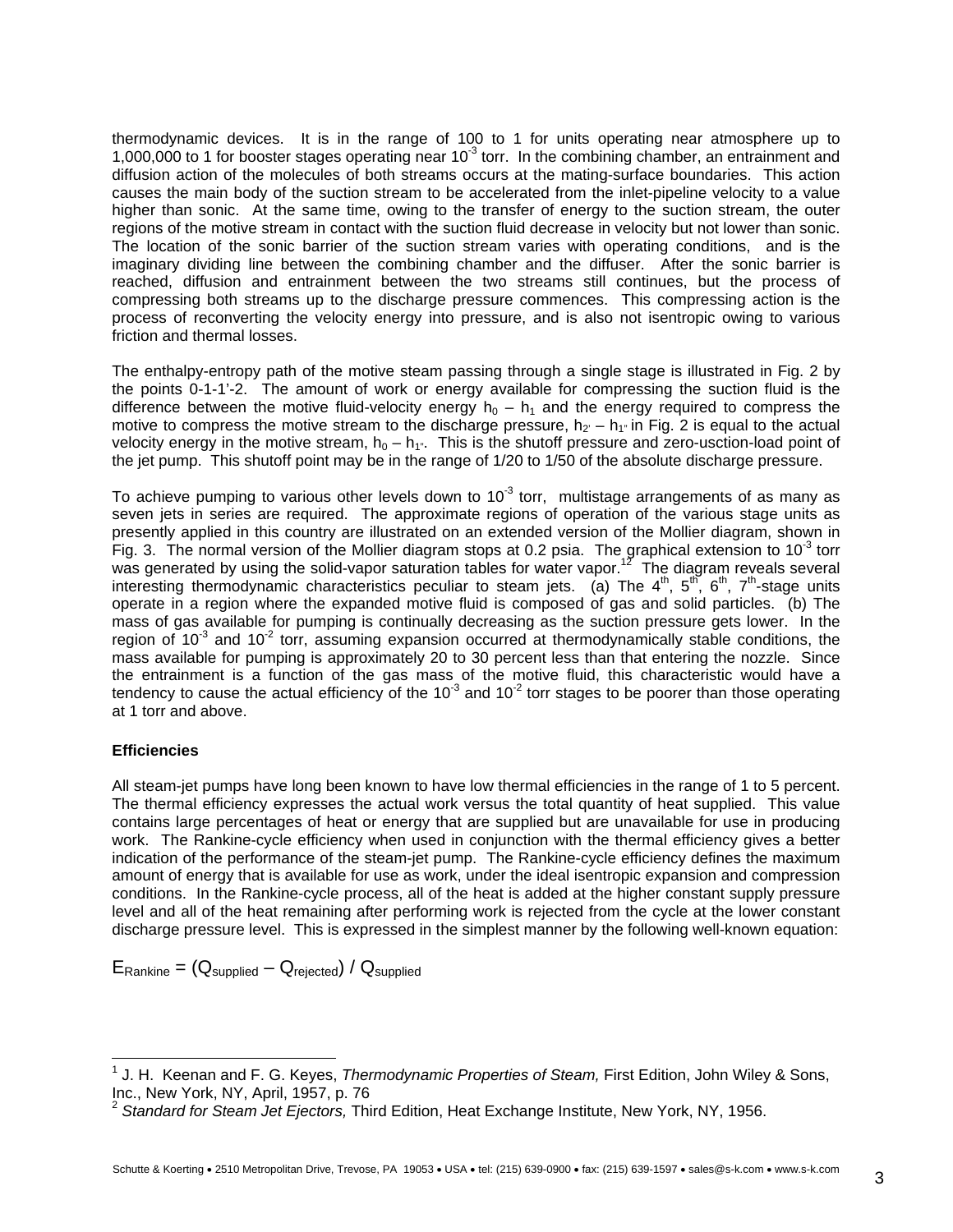thermodynamic devices. It is in the range of 100 to 1 for units operating near atmosphere up to 1,000,000 to 1 for booster stages operating near  $10^{-3}$  torr. In the combining chamber, an entrainment and diffusion action of the molecules of both streams occurs at the mating-surface boundaries. This action causes the main body of the suction stream to be accelerated from the inlet-pipeline velocity to a value higher than sonic. At the same time, owing to the transfer of energy to the suction stream, the outer regions of the motive stream in contact with the suction fluid decrease in velocity but not lower than sonic. The location of the sonic barrier of the suction stream varies with operating conditions, and is the imaginary dividing line between the combining chamber and the diffuser. After the sonic barrier is reached, diffusion and entrainment between the two streams still continues, but the process of compressing both streams up to the discharge pressure commences. This compressing action is the process of reconverting the velocity energy into pressure, and is also not isentropic owing to various friction and thermal losses.

The enthalpy-entropy path of the motive steam passing through a single stage is illustrated in Fig. 2 by the points 0-1-1'-2. The amount of work or energy available for compressing the suction fluid is the difference between the motive fluid-velocity energy  $h_0 - h_1$  and the energy required to compress the motive to compress the motive stream to the discharge pressure,  $h_2 - h_1$  in Fig. 2 is equal to the actual velocity energy in the motive stream,  $h_0 - h_1$ ". This is the shutoff pressure and zero-usction-load point of the jet pump. This shutoff point may be in the range of 1/20 to 1/50 of the absolute discharge pressure.

To achieve pumping to various other levels down to  $10<sup>-3</sup>$  torr, multistage arrangements of as many as seven jets in series are required. The approximate regions of operation of the various stage units as presently applied in this country are illustrated on an extended version of the Mollier diagram, shown in Fig. 3. The normal version of the Mollier diagram stops at 0.2 psia. The graphical extension to 10<sup>-3</sup> torr was generated by using the solid-vapor saturation tables for water vapor.<sup>12</sup> The diagram reveals several interesting thermodynamic characteristics peculiar to steam jets. (a) The  $4^{\text{th}}$ ,  $5^{\text{th}}$ ,  $6^{\text{th}}$ ,  $7^{\text{th}}$ -stage units operate in a region where the expanded motive fluid is composed of gas and solid particles. (b) The mass of gas available for pumping is continually decreasing as the suction pressure gets lower. In the region of  $10^{-3}$  and  $10^{-2}$  torr, assuming expansion occurred at thermodynamically stable conditions, the mass available for pumping is approximately 20 to 30 percent less than that entering the nozzle. Since the entrainment is a function of the gas mass of the motive fluid, this characteristic would have a tendency to cause the actual efficiency of the  $10^{-3}$  and  $10^{-2}$  torr stages to be poorer than those operating at 1 torr and above.

## **Efficiencies**

All steam-jet pumps have long been known to have low thermal efficiencies in the range of 1 to 5 percent. The thermal efficiency expresses the actual work versus the total quantity of heat supplied. This value contains large percentages of heat or energy that are supplied but are unavailable for use in producing work. The Rankine-cycle efficiency when used in conjunction with the thermal efficiency gives a better indication of the performance of the steam-jet pump. The Rankine-cycle efficiency defines the maximum amount of energy that is available for use as work, under the ideal isentropic expansion and compression conditions. In the Rankine-cycle process, all of the heat is added at the higher constant supply pressure level and all of the heat remaining after performing work is rejected from the cycle at the lower constant discharge pressure level. This is expressed in the simplest manner by the following well-known equation:

 $E_{\text{Rankine}} = (Q_{\text{subplied}} - Q_{\text{rejected}})/Q_{\text{subplied}}$ 

<span id="page-2-0"></span> <sup>1</sup> J. H. Keenan and F. G. Keyes, *Thermodynamic Properties of Steam,* First Edition, John Wiley & Sons, Inc., New York, NY, April, 1957, p. 76

<span id="page-2-1"></span><sup>2</sup> *Standard for Steam Jet Ejectors,* Third Edition, Heat Exchange Institute, New York, NY, 1956.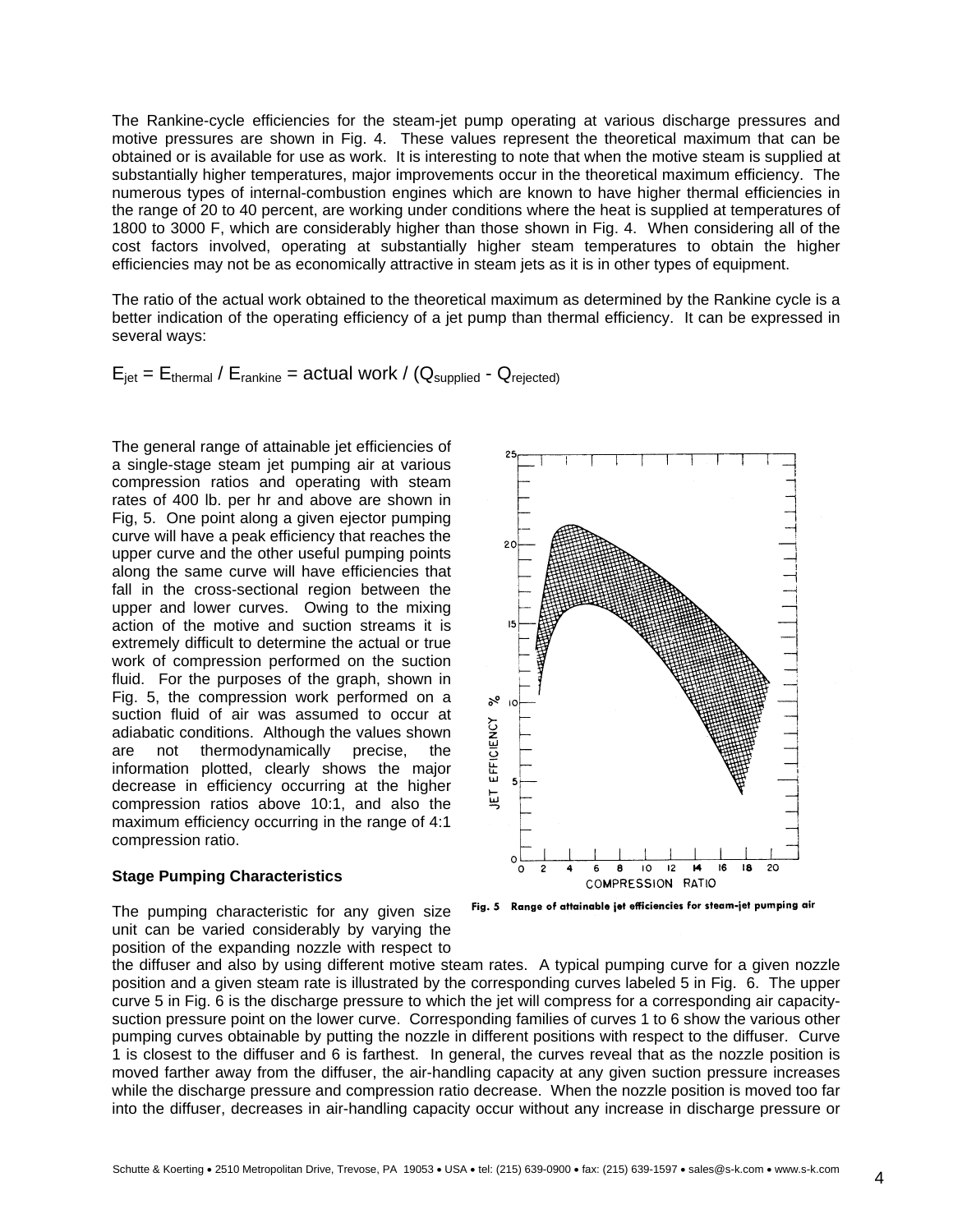The Rankine-cycle efficiencies for the steam-jet pump operating at various discharge pressures and motive pressures are shown in Fig. 4. These values represent the theoretical maximum that can be obtained or is available for use as work. It is interesting to note that when the motive steam is supplied at substantially higher temperatures, major improvements occur in the theoretical maximum efficiency. The numerous types of internal-combustion engines which are known to have higher thermal efficiencies in the range of 20 to 40 percent, are working under conditions where the heat is supplied at temperatures of 1800 to 3000 F, which are considerably higher than those shown in Fig. 4. When considering all of the cost factors involved, operating at substantially higher steam temperatures to obtain the higher efficiencies may not be as economically attractive in steam jets as it is in other types of equipment.

The ratio of the actual work obtained to the theoretical maximum as determined by the Rankine cycle is a better indication of the operating efficiency of a jet pump than thermal efficiency. It can be expressed in several ways:

# $E_{\text{jet}} = E_{\text{thermal}} / E_{\text{rankine}} =$  actual work / ( $Q_{\text{subplied}}$  -  $Q_{\text{rejected}}$ )

The general range of attainable jet efficiencies of a single-stage steam jet pumping air at various compression ratios and operating with steam rates of 400 lb. per hr and above are shown in Fig, 5. One point along a given ejector pumping curve will have a peak efficiency that reaches the upper curve and the other useful pumping points along the same curve will have efficiencies that fall in the cross-sectional region between the upper and lower curves. Owing to the mixing action of the motive and suction streams it is extremely difficult to determine the actual or true work of compression performed on the suction fluid. For the purposes of the graph, shown in Fig. 5, the compression work performed on a suction fluid of air was assumed to occur at adiabatic conditions. Although the values shown are not thermodynamically precise, the information plotted, clearly shows the major decrease in efficiency occurring at the higher compression ratios above 10:1, and also the maximum efficiency occurring in the range of 4:1 compression ratio.

#### **Stage Pumping Characteristics**

The pumping characteristic for any given size unit can be varied considerably by varying the position of the expanding nozzle with respect to



Fig. 5 Range of attainable jet efficiencies for steam-jet pumping air

the diffuser and also by using different motive steam rates. A typical pumping curve for a given nozzle position and a given steam rate is illustrated by the corresponding curves labeled 5 in Fig. 6. The upper curve 5 in Fig. 6 is the discharge pressure to which the jet will compress for a corresponding air capacitysuction pressure point on the lower curve. Corresponding families of curves 1 to 6 show the various other pumping curves obtainable by putting the nozzle in different positions with respect to the diffuser. Curve 1 is closest to the diffuser and 6 is farthest. In general, the curves reveal that as the nozzle position is moved farther away from the diffuser, the air-handling capacity at any given suction pressure increases while the discharge pressure and compression ratio decrease. When the nozzle position is moved too far into the diffuser, decreases in air-handling capacity occur without any increase in discharge pressure or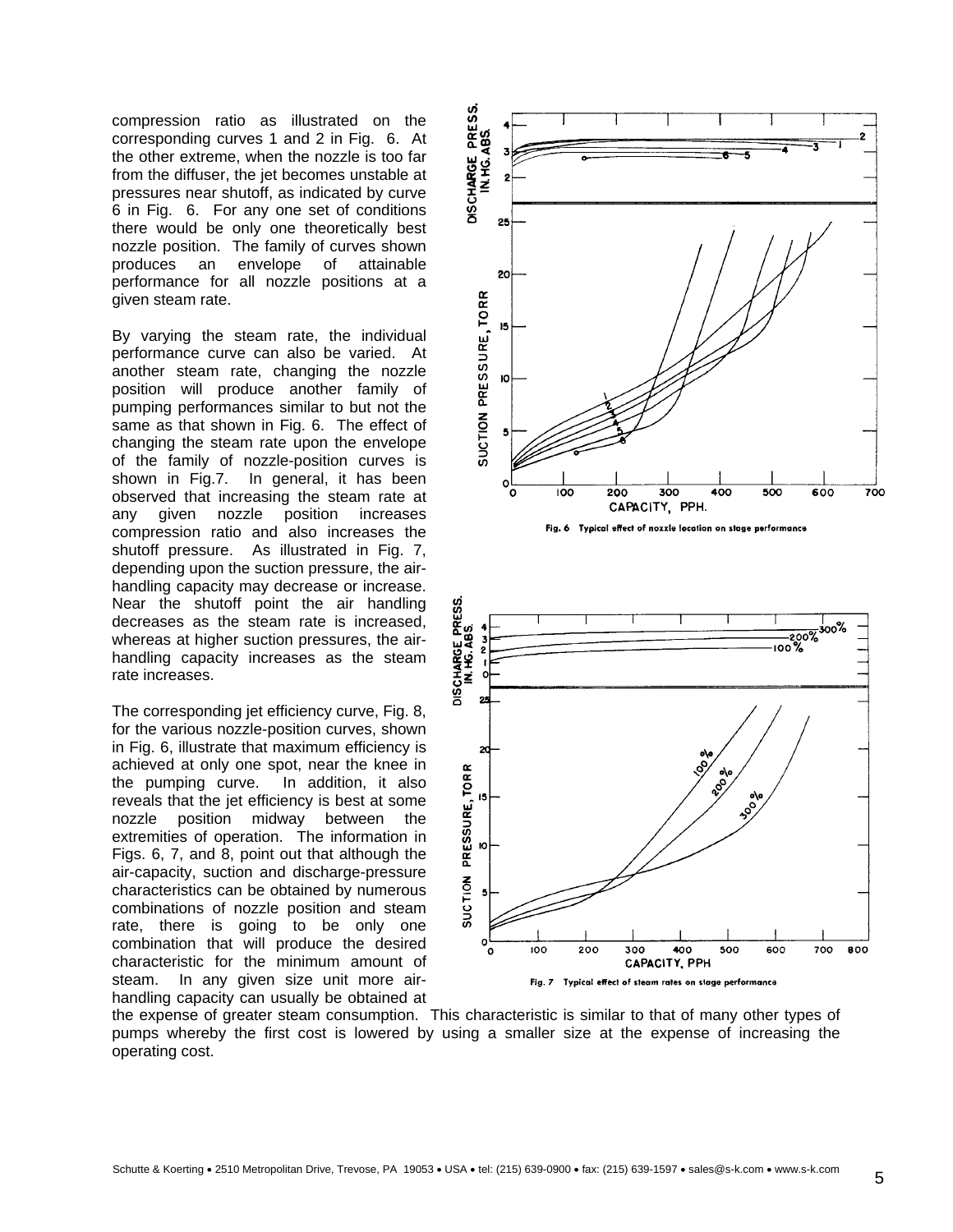compression ratio as illustrated on the corresponding curves 1 and 2 in Fig. 6. At the other extreme, when the nozzle is too far from the diffuser, the jet becomes unstable at pressures near shutoff, as indicated by curve 6 in Fig. 6. For any one set of conditions there would be only one theoretically best nozzle position. The family of curves shown produces an envelope of attainable performance for all nozzle positions at a given steam rate.

By varying the steam rate, the individual performance curve can also be varied. At another steam rate, changing the nozzle position will produce another family of pumping performances similar to but not the same as that shown in Fig. 6. The effect of changing the steam rate upon the envelope of the family of nozzle-position curves is shown in Fig.7. In general, it has been observed that increasing the steam rate at any given nozzle position increases compression ratio and also increases the shutoff pressure. As illustrated in Fig. 7, depending upon the suction pressure, the airhandling capacity may decrease or increase. Near the shutoff point the air handling decreases as the steam rate is increased, whereas at higher suction pressures, the airhandling capacity increases as the steam rate increases.

The corresponding jet efficiency curve, Fig. 8, for the various nozzle-position curves, shown in Fig. 6, illustrate that maximum efficiency is achieved at only one spot, near the knee in the pumping curve. In addition, it also reveals that the jet efficiency is best at some nozzle position midway between the extremities of operation. The information in Figs. 6, 7, and 8, point out that although the air-capacity, suction and discharge-pressure characteristics can be obtained by numerous combinations of nozzle position and steam rate, there is going to be only one combination that will produce the desired characteristic for the minimum amount of steam. In any given size unit more airhandling capacity can usually be obtained at



the expense of greater steam consumption. This characteristic is similar to that of many other types of pumps whereby the first cost is lowered by using a smaller size at the expense of increasing the operating cost.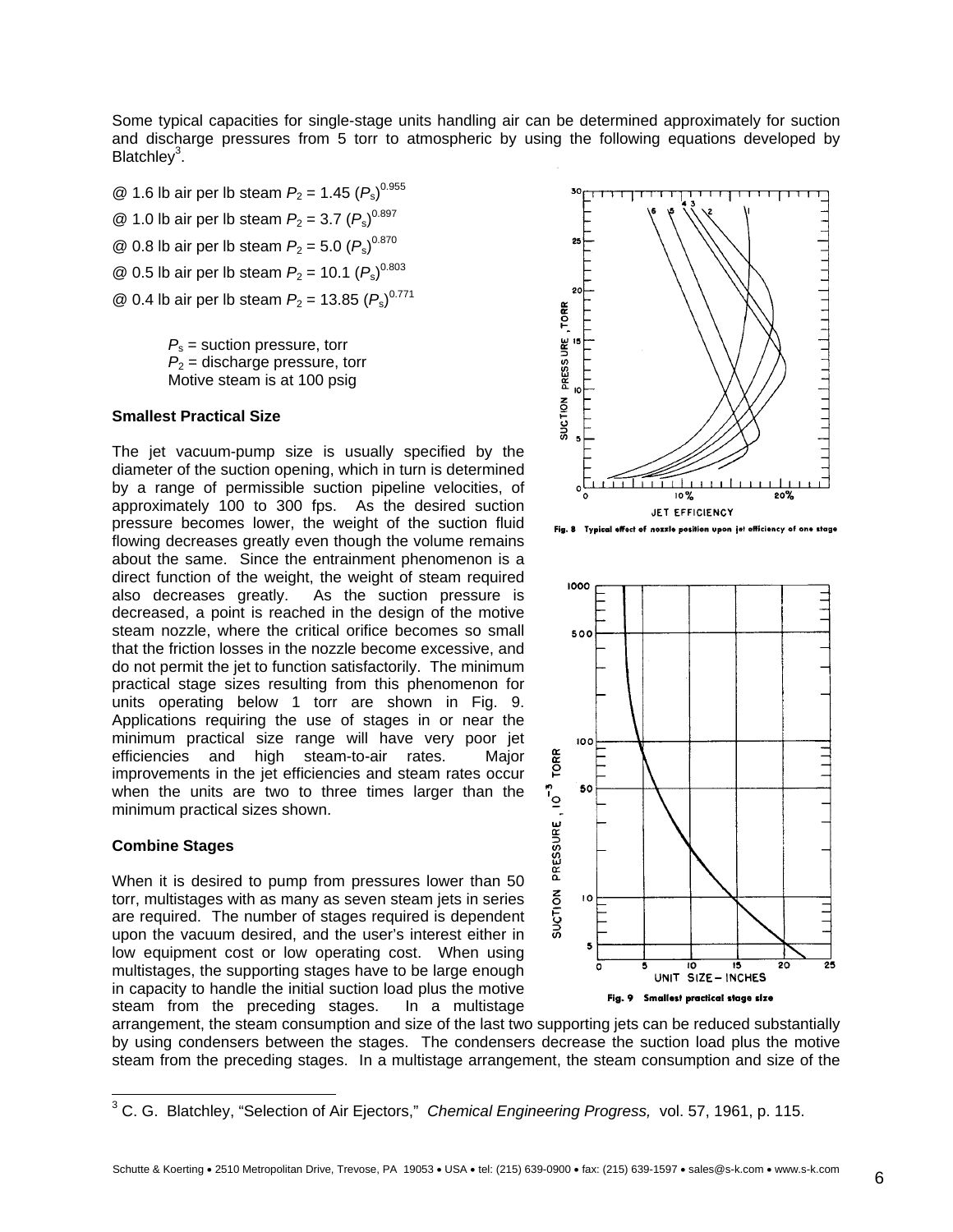Some typical capacities for single-stage units handling air can be determined approximately for suction and discharge pressures from 5 torr to atmospheric by using the following equations developed by Blatchley<sup>[3](#page-5-0)</sup>.

@ 1.6 lb air per lb steam  $P_2 = 1.45 (P_s)^{0.955}$ @ 1.0 lb air per lb steam  $P_2 = 3.7 (P_s)^{0.897}$  $\textcircled{2}$  0.8 lb air per lb steam  $P_2 = 5.0 (P_s)^{0.870}$  $\textcircled{2}$  0.5 lb air per lb steam  $P_2$  = 10.1  $(P_s)^{0.803}$  $\textcircled{2}$  0.4 lb air per lb steam  $P_2$  = 13.85  $(P_s)^{0.771}$ 

> $P_s$  = suction pressure, torr  $P_2$  = discharge pressure, torr Motive steam is at 100 psig

## **Smallest Practical Size**

The jet vacuum-pump size is usually specified by the diameter of the suction opening, which in turn is determined by a range of permissible suction pipeline velocities, of approximately 100 to 300 fps. As the desired suction pressure becomes lower, the weight of the suction fluid flowing decreases greatly even though the volume remains about the same. Since the entrainment phenomenon is a direct function of the weight, the weight of steam required also decreases greatly. As the suction pressure is decreased, a point is reached in the design of the motive steam nozzle, where the critical orifice becomes so small that the friction losses in the nozzle become excessive, and do not permit the jet to function satisfactorily. The minimum practical stage sizes resulting from this phenomenon for units operating below 1 torr are shown in Fig. 9. Applications requiring the use of stages in or near the minimum practical size range will have very poor jet efficiencies and high steam-to-air rates. Major improvements in the jet efficiencies and steam rates occur when the units are two to three times larger than the minimum practical sizes shown.

#### **Combine Stages**

When it is desired to pump from pressures lower than 50 torr, multistages with as many as seven steam jets in series are required. The number of stages required is dependent upon the vacuum desired, and the user's interest either in low equipment cost or low operating cost. When using multistages, the supporting stages have to be large enough in capacity to handle the initial suction load plus the motive steam from the preceding stages. In a multistage



Fig. 8 Typical effect of nozzle position upon jet efficiency of one stage



arrangement, the steam consumption and size of the last two supporting jets can be reduced substantially by using condensers between the stages. The condensers decrease the suction load plus the motive steam from the preceding stages. In a multistage arrangement, the steam consumption and size of the

<span id="page-5-0"></span> <sup>3</sup> C. G. Blatchley, "Selection of Air Ejectors," *Chemical Engineering Progress,* vol. 57, 1961, p. 115.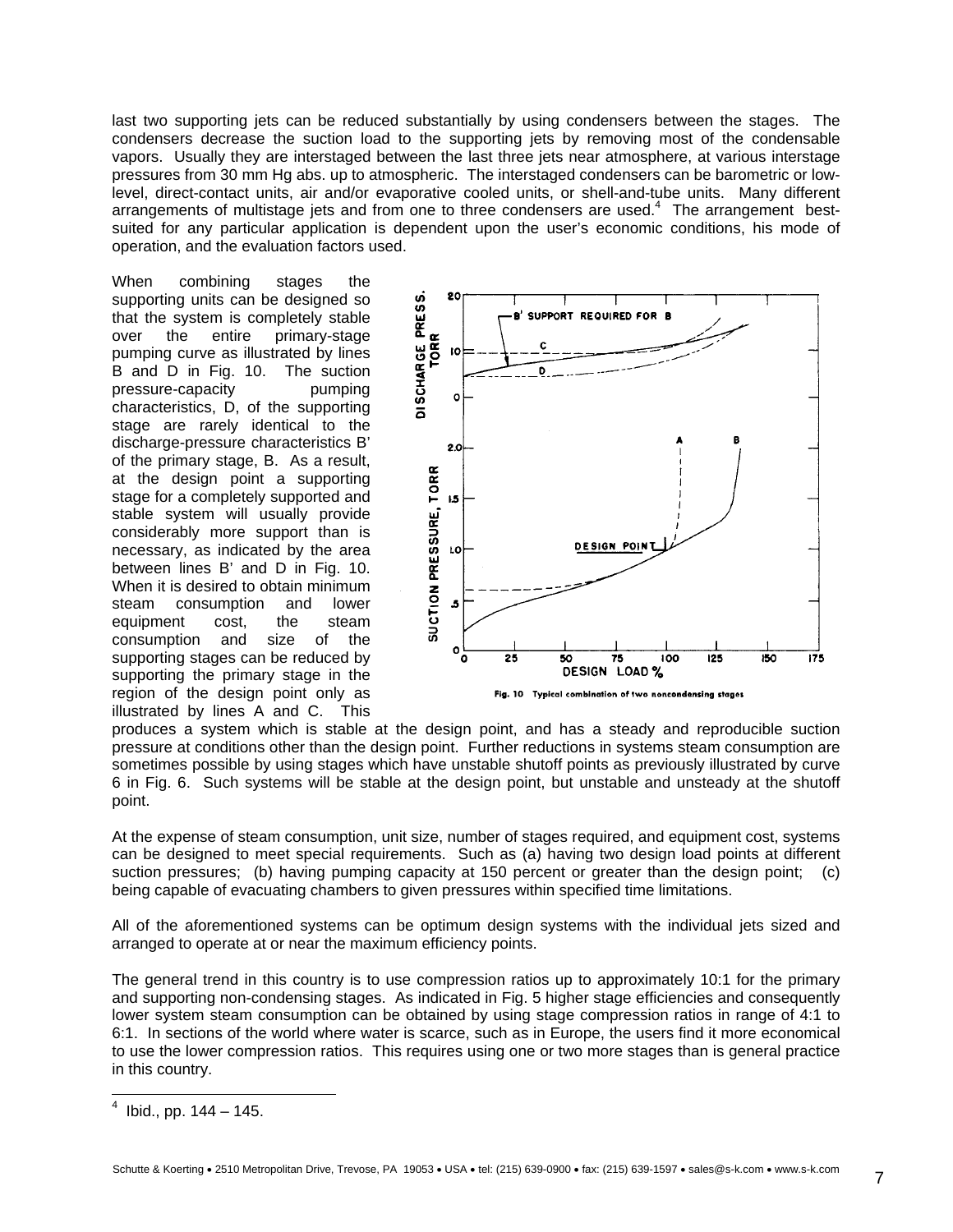last two supporting jets can be reduced substantially by using condensers between the stages. The condensers decrease the suction load to the supporting jets by removing most of the condensable vapors. Usually they are interstaged between the last three jets near atmosphere, at various interstage pressures from 30 mm Hg abs. up to atmospheric. The interstaged condensers can be barometric or lowlevel, direct-contact units, air and/or evaporative cooled units, or shell-and-tube units. Many different arrangements of multistage jets and from one to three condensers are used. $4$  The arrangement bestsuited for any particular application is dependent upon the user's economic conditions, his mode of operation, and the evaluation factors used.

When combining stages the supporting units can be designed so that the system is completely stable over the entire primary-stage pumping curve as illustrated by lines B and D in Fig. 10. The suction pressure-capacity pumping characteristics, D, of the supporting stage are rarely identical to the discharge-pressure characteristics B' of the primary stage, B. As a result, at the design point a supporting stage for a completely supported and stable system will usually provide considerably more support than is necessary, as indicated by the area between lines B' and D in Fig. 10. When it is desired to obtain minimum steam consumption and lower equipment cost, the steam consumption and size of the supporting stages can be reduced by supporting the primary stage in the region of the design point only as illustrated by lines A and C. This



produces a system which is stable at the design point, and has a steady and reproducible suction pressure at conditions other than the design point. Further reductions in systems steam consumption are sometimes possible by using stages which have unstable shutoff points as previously illustrated by curve 6 in Fig. 6. Such systems will be stable at the design point, but unstable and unsteady at the shutoff point.

At the expense of steam consumption, unit size, number of stages required, and equipment cost, systems can be designed to meet special requirements. Such as (a) having two design load points at different suction pressures; (b) having pumping capacity at 150 percent or greater than the design point; (c) being capable of evacuating chambers to given pressures within specified time limitations.

All of the aforementioned systems can be optimum design systems with the individual jets sized and arranged to operate at or near the maximum efficiency points.

The general trend in this country is to use compression ratios up to approximately 10:1 for the primary and supporting non-condensing stages. As indicated in Fig. 5 higher stage efficiencies and consequently lower system steam consumption can be obtained by using stage compression ratios in range of 4:1 to 6:1. In sections of the world where water is scarce, such as in Europe, the users find it more economical to use the lower compression ratios. This requires using one or two more stages than is general practice in this country.

<span id="page-6-0"></span> $\frac{1}{4}$ Ibid., pp. 144 – 145.